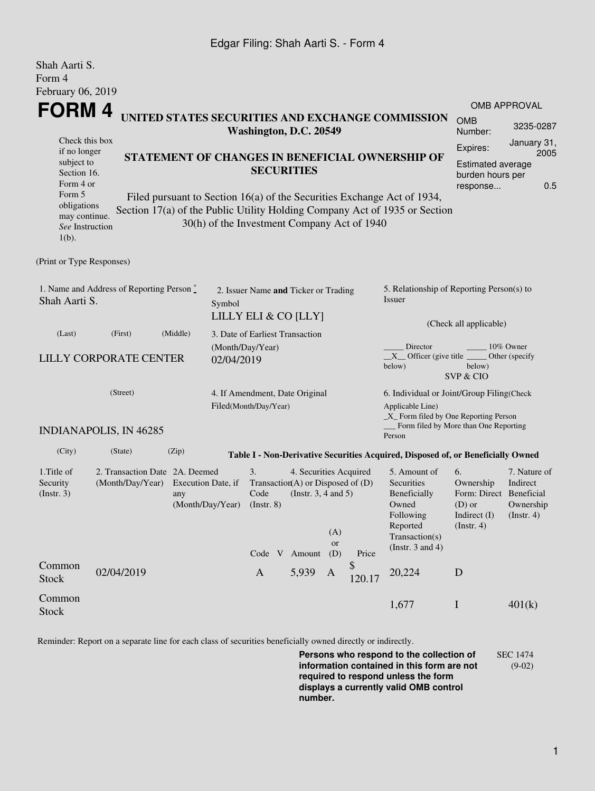### Edgar Filing: Shah Aarti S. - Form 4

| Shah Aarti S.<br>Form 4                                                                                                                                                                                                                                                                                                                                                                                                                                                                                                         |                                                    |                           |                                                                        |                                                                                                   |                                                    |                         |              |                                                                                                                              |                                                                                            |                                                      |  |  |
|---------------------------------------------------------------------------------------------------------------------------------------------------------------------------------------------------------------------------------------------------------------------------------------------------------------------------------------------------------------------------------------------------------------------------------------------------------------------------------------------------------------------------------|----------------------------------------------------|---------------------------|------------------------------------------------------------------------|---------------------------------------------------------------------------------------------------|----------------------------------------------------|-------------------------|--------------|------------------------------------------------------------------------------------------------------------------------------|--------------------------------------------------------------------------------------------|------------------------------------------------------|--|--|
| February 06, 2019                                                                                                                                                                                                                                                                                                                                                                                                                                                                                                               |                                                    |                           |                                                                        |                                                                                                   |                                                    |                         |              |                                                                                                                              |                                                                                            |                                                      |  |  |
| <b>FORM4</b><br>UNITED STATES SECURITIES AND EXCHANGE COMMISSION<br>Washington, D.C. 20549<br>Check this box<br>if no longer<br>STATEMENT OF CHANGES IN BENEFICIAL OWNERSHIP OF<br>subject to<br><b>SECURITIES</b><br>Section 16.<br>Form 4 or<br>Form 5<br>Filed pursuant to Section 16(a) of the Securities Exchange Act of 1934,<br>obligations<br>Section 17(a) of the Public Utility Holding Company Act of 1935 or Section<br>may continue.<br>30(h) of the Investment Company Act of 1940<br>See Instruction<br>$1(b)$ . |                                                    |                           |                                                                        |                                                                                                   |                                                    |                         |              | OMB APPROVAL<br><b>OMB</b><br>3235-0287<br>Number:                                                                           |                                                                                            |                                                      |  |  |
|                                                                                                                                                                                                                                                                                                                                                                                                                                                                                                                                 |                                                    |                           |                                                                        |                                                                                                   |                                                    |                         |              | Expires:<br><b>Estimated average</b><br>burden hours per<br>response                                                         | January 31,<br>2005<br>0.5                                                                 |                                                      |  |  |
| (Print or Type Responses)                                                                                                                                                                                                                                                                                                                                                                                                                                                                                                       |                                                    |                           |                                                                        |                                                                                                   |                                                    |                         |              |                                                                                                                              |                                                                                            |                                                      |  |  |
| 1. Name and Address of Reporting Person *<br>Shah Aarti S.                                                                                                                                                                                                                                                                                                                                                                                                                                                                      |                                                    |                           | 2. Issuer Name and Ticker or Trading<br>Symbol<br>LILLY ELI & CO [LLY] |                                                                                                   |                                                    |                         |              | 5. Relationship of Reporting Person(s) to<br>Issuer<br>(Check all applicable)                                                |                                                                                            |                                                      |  |  |
| (Last)                                                                                                                                                                                                                                                                                                                                                                                                                                                                                                                          | (First)                                            | (Middle)                  | 3. Date of Earliest Transaction                                        |                                                                                                   |                                                    |                         |              |                                                                                                                              |                                                                                            |                                                      |  |  |
| <b>LILLY CORPORATE CENTER</b>                                                                                                                                                                                                                                                                                                                                                                                                                                                                                                   |                                                    |                           | (Month/Day/Year)<br>02/04/2019                                         |                                                                                                   |                                                    |                         |              | Director<br>10% Owner<br>$X$ Officer (give title $\overline{\phantom{a}}$<br>Other (specify<br>below)<br>below)<br>SVP & CIO |                                                                                            |                                                      |  |  |
| (Street)                                                                                                                                                                                                                                                                                                                                                                                                                                                                                                                        |                                                    |                           |                                                                        | 4. If Amendment, Date Original<br>Filed(Month/Day/Year)                                           |                                                    |                         |              | 6. Individual or Joint/Group Filing(Check<br>Applicable Line)<br>$\_X$ Form filed by One Reporting Person                    |                                                                                            |                                                      |  |  |
|                                                                                                                                                                                                                                                                                                                                                                                                                                                                                                                                 | <b>INDIANAPOLIS, IN 46285</b>                      |                           |                                                                        |                                                                                                   |                                                    |                         |              | Form filed by More than One Reporting<br>Person                                                                              |                                                                                            |                                                      |  |  |
| (City)                                                                                                                                                                                                                                                                                                                                                                                                                                                                                                                          | (State)                                            | (Zip)                     |                                                                        |                                                                                                   |                                                    |                         |              | Table I - Non-Derivative Securities Acquired, Disposed of, or Beneficially Owned                                             |                                                                                            |                                                      |  |  |
| 1. Title of<br>Security<br>(Insert. 3)                                                                                                                                                                                                                                                                                                                                                                                                                                                                                          | 2. Transaction Date 2A. Deemed<br>(Month/Day/Year) | Execution Date, if<br>any |                                                                        | 3.<br>Transaction(A) or Disposed of $(D)$<br>Code<br>(Month/Day/Year) (Instr. 8)<br>Code V Amount | 4. Securities Acquired<br>(Instr. $3, 4$ and $5$ ) | (A)<br><b>or</b><br>(D) | Price        | 5. Amount of<br>Securities<br>Beneficially<br>Owned<br>Following<br>Reported<br>Transaction(s)<br>(Instr. $3$ and $4$ )      | 6.<br>Ownership<br>Form: Direct Beneficial<br>$(D)$ or<br>Indirect (I)<br>$($ Instr. 4 $)$ | 7. Nature of<br>Indirect<br>Ownership<br>(Insert. 4) |  |  |
| Common<br><b>Stock</b>                                                                                                                                                                                                                                                                                                                                                                                                                                                                                                          | 02/04/2019                                         |                           |                                                                        | $\mathbf{A}$                                                                                      | 5,939                                              | A                       | \$<br>120.17 | 20,224                                                                                                                       | D                                                                                          |                                                      |  |  |
| Common<br><b>Stock</b>                                                                                                                                                                                                                                                                                                                                                                                                                                                                                                          |                                                    |                           |                                                                        |                                                                                                   |                                                    |                         |              | 1,677                                                                                                                        | $\mathbf I$                                                                                | 401(k)                                               |  |  |

Reminder: Report on a separate line for each class of securities beneficially owned directly or indirectly.

**Persons who respond to the collection of information contained in this form are not required to respond unless the form displays a currently valid OMB control number.** SEC 1474 (9-02)